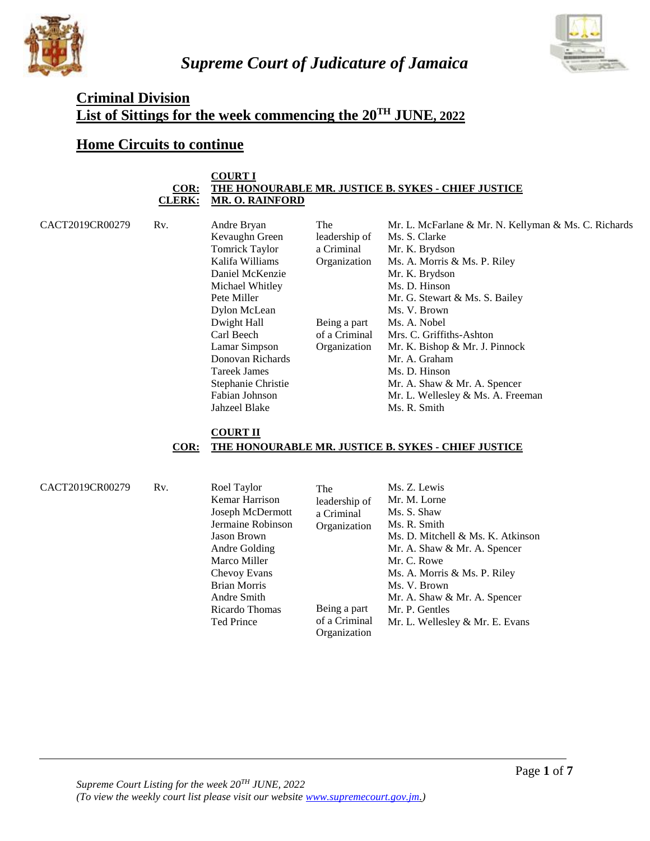

*Supreme Court of Judicature of Jamaica*



# **Criminal Division List of Sittings for the week commencing the 20TH JUNE, 2022**

# **Home Circuits to continue**

#### **COURT I COR: THE HONOURABLE MR. JUSTICE B. SYKES - CHIEF JUSTICE CLERK: MR. O. RAINFORD**

CACT2019CR00279 Rv. Andre Bryan Kevaughn Green Tomrick Taylor Kalifa Williams Daniel McKenzie Michael Whitley Pete Miller Dylon McLean Dwight Hall Carl Beech Lamar Simpson Donovan Richards Tareek James Stephanie Christie Fabian Johnson Jahzeel Blake The leadership of a Criminal Organization Being a part of a Criminal Organization Mr. L. McFarlane & Mr. N. Kellyman & Ms. C. Richards Ms. S. Clarke Mr. K. Brydson Ms. A. Morris & Ms. P. Riley Mr. K. Brydson Ms. D. Hinson Mr. G. Stewart & Ms. S. Bailey Ms. V. Brown Ms. A. Nobel Mrs. C. Griffiths-Ashton Mr. K. Bishop & Mr. J. Pinnock Mr. A. Graham Ms. D. Hinson Mr. A. Shaw & Mr. A. Spencer Mr. L. Wellesley & Ms. A. Freeman Ms. R. Smith

## **COURT II COR: THE HONOURABLE MR. JUSTICE B. SYKES - CHIEF JUSTICE**

| CACT2019CR00279 | R <sub>v</sub> . | Roel Taylor         | The           | Ms. Z. Lewis                      |
|-----------------|------------------|---------------------|---------------|-----------------------------------|
|                 |                  | Kemar Harrison      | leadership of | Mr. M. Lorne                      |
|                 |                  | Joseph McDermott    | a Criminal    | Ms. S. Shaw                       |
|                 |                  | Jermaine Robinson   | Organization  | Ms. R. Smith                      |
|                 |                  | <b>Jason Brown</b>  |               | Ms. D. Mitchell & Ms. K. Atkinson |
|                 |                  | Andre Golding       |               | Mr. A. Shaw & Mr. A. Spencer      |
|                 |                  | Marco Miller        |               | Mr. C. Rowe                       |
|                 |                  | Chevoy Evans        |               | Ms. A. Morris & Ms. P. Riley      |
|                 |                  | <b>Brian Morris</b> |               | Ms. V. Brown                      |
|                 |                  | Andre Smith         |               | Mr. A. Shaw & Mr. A. Spencer      |
|                 |                  | Ricardo Thomas      | Being a part  | Mr. P. Gentles                    |
|                 |                  | Ted Prince          | of a Criminal | Mr. L. Wellesley & Mr. E. Evans   |
|                 |                  |                     | Organization  |                                   |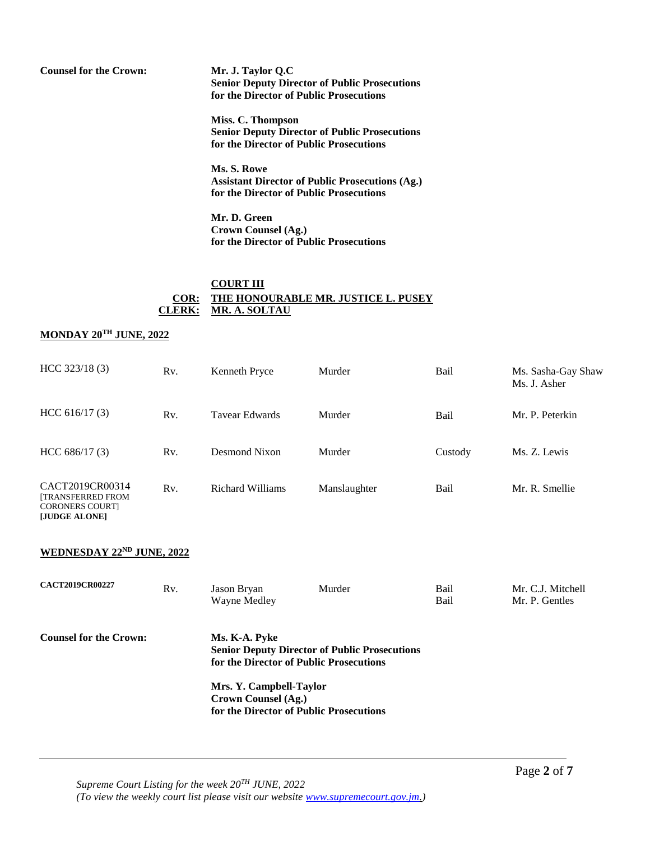**Counsel for the Crown: Mr. J. Taylor Q.C Senior Deputy Director of Public Prosecutions for the Director of Public Prosecutions** 

> **Miss. C. Thompson Senior Deputy Director of Public Prosecutions for the Director of Public Prosecutions**

> **Ms. S. Rowe Assistant Director of Public Prosecutions (Ag.) for the Director of Public Prosecutions**

**Mr. D. Green Crown Counsel (Ag.) for the Director of Public Prosecutions**

### **COURT III COR: THE HONOURABLE MR. JUSTICE L. PUSEY CLERK: MR. A. SOLTAU**

### **MONDAY 20TH JUNE, 2022**

| HCC 323/18(3)                                                                          | Rv. | Kenneth Pryce         | Murder       | Bail    | Ms. Sasha-Gay Shaw<br>Ms. J. Asher |
|----------------------------------------------------------------------------------------|-----|-----------------------|--------------|---------|------------------------------------|
| HCC 616/17(3)                                                                          | Rv. | <b>Tavear Edwards</b> | Murder       | Bail    | Mr. P. Peterkin                    |
| HCC 686/17(3)                                                                          | Rv. | Desmond Nixon         | Murder       | Custody | Ms. Z. Lewis                       |
| CACT2019CR00314<br><b>[TRANSFERRED FROM</b><br><b>CORONERS COURTI</b><br>[JUDGE ALONE] | Rv. | Richard Williams      | Manslaughter | Bail    | Mr. R. Smellie                     |

## **WEDNESDAY 22ND JUNE, 2022**

| <b>CACT2019CR00227</b>        | Rv. | Jason Bryan<br>Wayne Medley                    | Murder                                                                                          | Bail<br>Bail | Mr. C.J. Mitchell<br>Mr. P. Gentles |
|-------------------------------|-----|------------------------------------------------|-------------------------------------------------------------------------------------------------|--------------|-------------------------------------|
| <b>Counsel for the Crown:</b> |     | Ms. K-A. Pyke                                  | <b>Senior Deputy Director of Public Prosecutions</b><br>for the Director of Public Prosecutions |              |                                     |
|                               |     | Mrs. Y. Campbell-Taylor<br>Crown Counsel (Ag.) | for the Director of Public Prosecutions                                                         |              |                                     |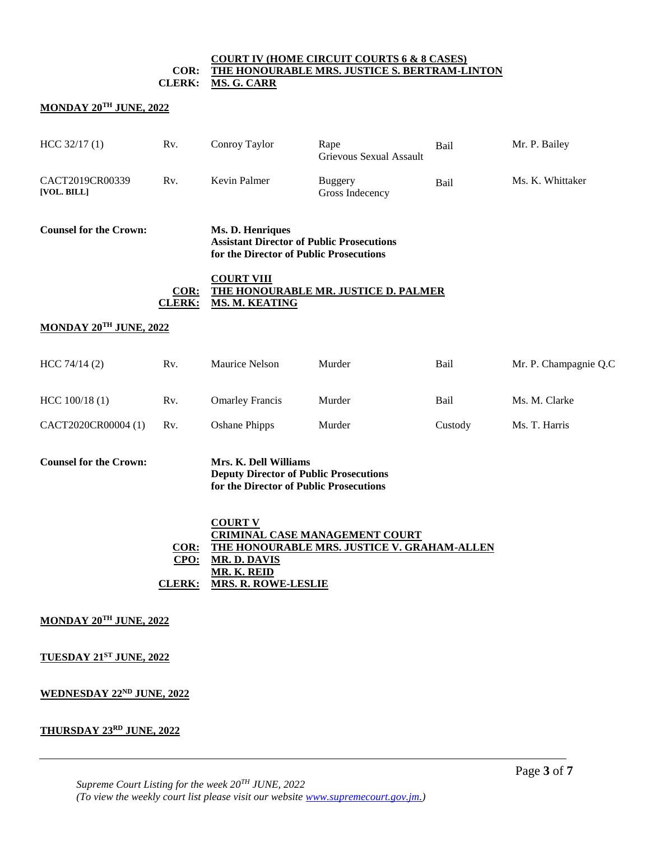#### **COURT IV (HOME CIRCUIT COURTS 6 & 8 CASES) COR: THE HONOURABLE MRS. JUSTICE S. BERTRAM-LINTON CLERK: MS. G. CARR**

### **MONDAY 20TH JUNE, 2022**

| HCC 32/17(1)                   | Rv.                              | Conroy Taylor                                                                                                     | Rape<br>Grievous Sexual Assault                                                      | Bail        | Mr. P. Bailey         |
|--------------------------------|----------------------------------|-------------------------------------------------------------------------------------------------------------------|--------------------------------------------------------------------------------------|-------------|-----------------------|
| CACT2019CR00339<br>[VOL. BILL] | Rv.                              | Kevin Palmer                                                                                                      | <b>Buggery</b><br>Gross Indecency                                                    | <b>Bail</b> | Ms. K. Whittaker      |
| <b>Counsel for the Crown:</b>  |                                  | Ms. D. Henriques<br><b>Assistant Director of Public Prosecutions</b><br>for the Director of Public Prosecutions   |                                                                                      |             |                       |
|                                | COR:<br><b>CLERK:</b>            | <b>COURT VIII</b><br><b>MS. M. KEATING</b>                                                                        | THE HONOURABLE MR. JUSTICE D. PALMER                                                 |             |                       |
| MONDAY 20TH JUNE, 2022         |                                  |                                                                                                                   |                                                                                      |             |                       |
| HCC 74/14 (2)                  | R <sub>v</sub> .                 | Maurice Nelson                                                                                                    | Murder                                                                               | Bail        | Mr. P. Champagnie Q.C |
| HCC 100/18 (1)                 | Rv.                              | <b>Omarley Francis</b>                                                                                            | Murder                                                                               | Bail        | Ms. M. Clarke         |
| CACT2020CR00004 (1)            | R <sub>v</sub> .                 | <b>Oshane Phipps</b>                                                                                              | Murder                                                                               | Custody     | Ms. T. Harris         |
| <b>Counsel for the Crown:</b>  |                                  | Mrs. K. Dell Williams<br><b>Deputy Director of Public Prosecutions</b><br>for the Director of Public Prosecutions |                                                                                      |             |                       |
|                                | $COR$ :<br>CPO:<br><b>CLERK:</b> | <b>COURT V</b><br><b>MR. D. DAVIS</b><br><b>MR. K. REID</b><br><b>MRS. R. ROWE-LESLIE</b>                         | <b>CRIMINAL CASE MANAGEMENT COURT</b><br>THE HONOURABLE MRS. JUSTICE V. GRAHAM-ALLEN |             |                       |
| MONDAY 20TH JUNE, 2022         |                                  |                                                                                                                   |                                                                                      |             |                       |
| TUESDAY 21ST JUNE, 2022        |                                  |                                                                                                                   |                                                                                      |             |                       |

#### **WEDNESDAY 22ND JUNE, 2022**

## **THURSDAY 23RD JUNE, 2022**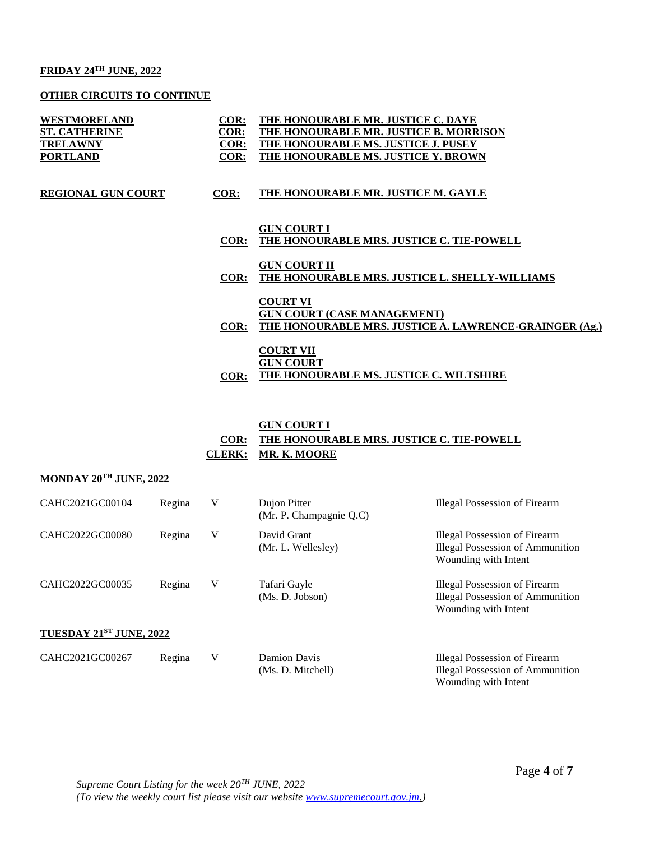### **FRIDAY 24TH JUNE, 2022**

### **OTHER CIRCUITS TO CONTINUE**

| WESTMORELAND<br><b>ST. CATHERINE</b><br><b>TRELAWNY</b><br><b>PORTLAND</b> | COR:<br><u>COR:</u><br>COR:<br>COR: | THE HONOURABLE MR. JUSTICE C. DAYE<br>THE HONOURABLE MR. JUSTICE B. MORRISON<br>THE HONOURABLE MS. JUSTICE J. PUSEY<br>THE HONOURABLE MS. JUSTICE Y. BROWN |
|----------------------------------------------------------------------------|-------------------------------------|------------------------------------------------------------------------------------------------------------------------------------------------------------|
| <b>REGIONAL GUN COURT</b>                                                  | COR:                                | THE HONOURABLE MR. JUSTICE M. GAYLE                                                                                                                        |
|                                                                            | COR:                                | <b>GUN COURT I</b><br>THE HONOURABLE MRS. JUSTICE C. TIE-POWELL                                                                                            |
|                                                                            | COR:                                | <b>GUN COURT II</b><br>THE HONOURABLE MRS. JUSTICE L. SHELLY-WILLIAMS                                                                                      |
|                                                                            | COR:                                | <b>COURT VI</b><br><b>GUN COURT (CASE MANAGEMENT)</b><br>THE HONOURABLE MRS. JUSTICE A. LAWRENCE-GRAINGER (Ag.)                                            |
|                                                                            | COR:                                | <b>COURT VII</b><br><b>GUN COURT</b><br>THE HONOURABLE MS. JUSTICE C. WILTSHIRE                                                                            |

#### **GUN COURT I**

# **COR: THE HONOURABLE MRS. JUSTICE C. TIE-POWELL CLERK: MR. K. MOORE**

### **MONDAY 20TH JUNE, 2022**

| CAHC2021GC00104         | Regina | V | Dujon Pitter<br>(Mr. P. Champagnie Q.C) | Illegal Possession of Firearm                                                                    |
|-------------------------|--------|---|-----------------------------------------|--------------------------------------------------------------------------------------------------|
| CAHC2022GC00080         | Regina | V | David Grant<br>(Mr. L. Wellesley)       | Illegal Possession of Firearm<br><b>Illegal Possession of Ammunition</b><br>Wounding with Intent |
| CAHC2022GC00035         | Regina | V | Tafari Gayle<br>(Ms. D. Jobson)         | Illegal Possession of Firearm<br><b>Illegal Possession of Ammunition</b><br>Wounding with Intent |
| TUESDAY 21ST JUNE, 2022 |        |   |                                         |                                                                                                  |
| CAHC2021GC00267         | Regina | V | Damion Davis<br>(Ms. D. Mitchell)       | Illegal Possession of Firearm<br><b>Illegal Possession of Ammunition</b><br>Wounding with Intent |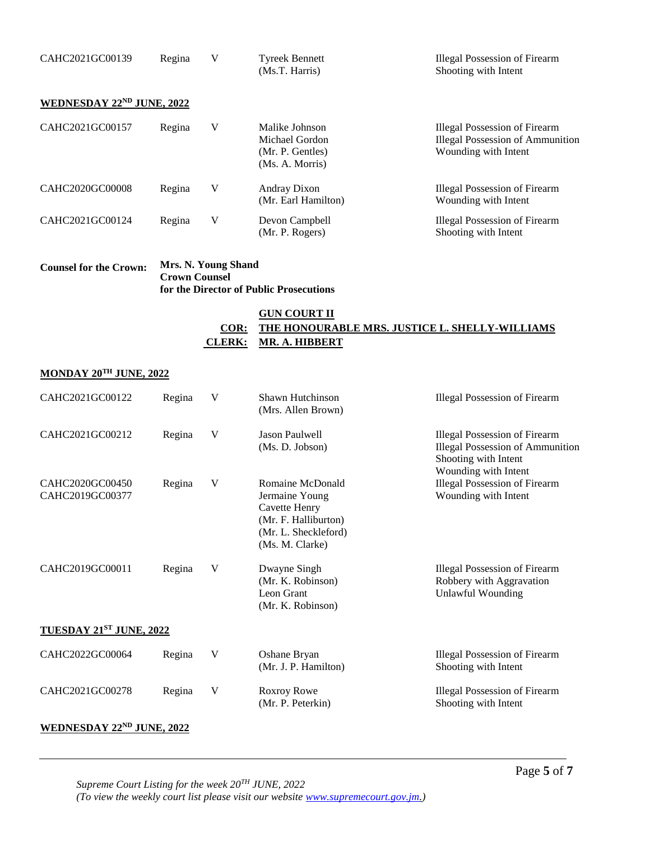| CAHC2021GC00139           | Regina | V | <b>Tyreek Bennett</b><br>(Ms.T. Harris)                                 | <b>Illegal Possession of Firearm</b><br>Shooting with Intent                                     |
|---------------------------|--------|---|-------------------------------------------------------------------------|--------------------------------------------------------------------------------------------------|
| WEDNESDAY 22ND JUNE, 2022 |        |   |                                                                         |                                                                                                  |
| CAHC2021GC00157           | Regina | V | Malike Johnson<br>Michael Gordon<br>(Mr. P. Gentles)<br>(Ms. A. Morris) | Illegal Possession of Firearm<br><b>Illegal Possession of Ammunition</b><br>Wounding with Intent |
| CAHC2020GC00008           | Regina | V | Andray Dixon<br>(Mr. Earl Hamilton)                                     | Illegal Possession of Firearm<br>Wounding with Intent                                            |
| CAHC2021GC00124           | Regina | V | Devon Campbell<br>(Mr. P. Rogers)                                       | Illegal Possession of Firearm<br>Shooting with Intent                                            |

| <b>Counsel for the Crown:</b> | Mrs. N. Young Shand                     |
|-------------------------------|-----------------------------------------|
|                               | <b>Crown Counsel</b>                    |
|                               | for the Director of Public Prosecutions |

## **GUN COURT II COR: THE HONOURABLE MRS. JUSTICE L. SHELLY-WILLIAMS CLERK: MR. A. HIBBERT**

# **MONDAY 20TH JUNE, 2022**

| CAHC2021GC00122                    | Regina | V | Shawn Hutchinson<br>(Mrs. Allen Brown)                                                                                        | <b>Illegal Possession of Firearm</b>                                                                                            |
|------------------------------------|--------|---|-------------------------------------------------------------------------------------------------------------------------------|---------------------------------------------------------------------------------------------------------------------------------|
| CAHC2021GC00212                    | Regina | V | <b>Jason Paulwell</b><br>(Ms. D. Jobson)                                                                                      | <b>Illegal Possession of Firearm</b><br><b>Illegal Possession of Ammunition</b><br>Shooting with Intent<br>Wounding with Intent |
| CAHC2020GC00450<br>CAHC2019GC00377 | Regina | V | Romaine McDonald<br>Jermaine Young<br><b>Cavette Henry</b><br>(Mr. F. Halliburton)<br>(Mr. L. Sheckleford)<br>(Ms. M. Clarke) | <b>Illegal Possession of Firearm</b><br>Wounding with Intent                                                                    |
| CAHC2019GC00011                    | Regina | V | Dwayne Singh<br>(Mr. K. Robinson)<br>Leon Grant<br>(Mr. K. Robinson)                                                          | <b>Illegal Possession of Firearm</b><br>Robbery with Aggravation<br><b>Unlawful Wounding</b>                                    |
| TUESDAY 21ST JUNE, 2022            |        |   |                                                                                                                               |                                                                                                                                 |
| CAHC2022GC00064                    | Regina | V | Oshane Bryan<br>(Mr. J. P. Hamilton)                                                                                          | <b>Illegal Possession of Firearm</b><br>Shooting with Intent                                                                    |
| CAHC2021GC00278                    | Regina | V | Roxroy Rowe<br>(Mr. P. Peterkin)                                                                                              | <b>Illegal Possession of Firearm</b><br>Shooting with Intent                                                                    |

#### **WEDNESDAY 22ND JUNE, 2022**

*Supreme Court Listing for the week 20TH JUNE, 2022 (To view the weekly court list please visit our website [www.supremecourt.gov.jm.](http://www.supremecourt.gov.jm/))*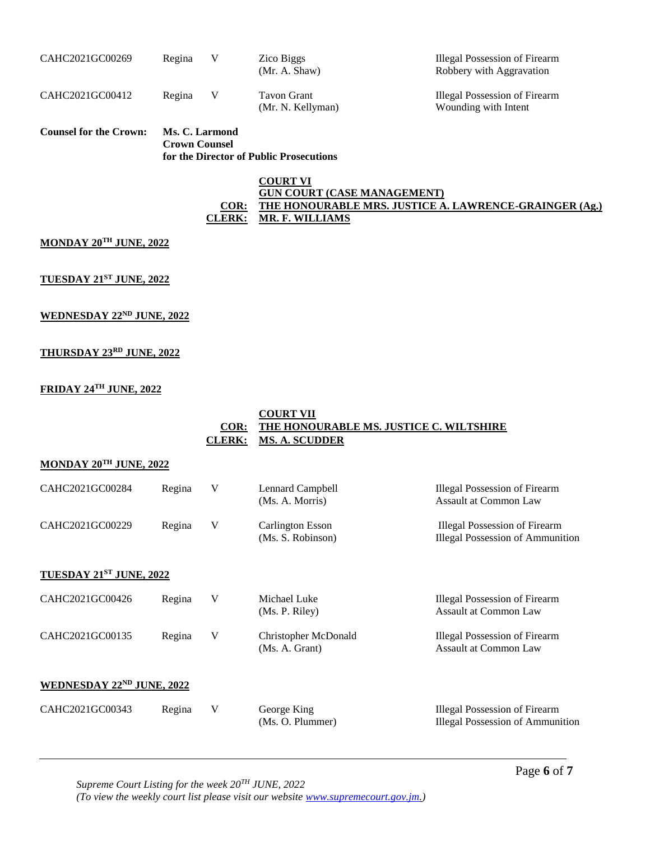| CAHC2021GC00269 | Regina | Zico Biggs<br>(Mr. A. Shaw)      | Illegal Possession of Firearm<br>Robbery with Aggravation |
|-----------------|--------|----------------------------------|-----------------------------------------------------------|
| CAHC2021GC00412 | Regina | Tavon Grant<br>(Mr. N. Kellyman) | Illegal Possession of Firearm<br>Wounding with Intent     |

**Counsel for the Crown: Ms. C. Larmond Crown Counsel for the Director of Public Prosecutions**

#### **COURT VI GUN COURT (CASE MANAGEMENT) COR: THE HONOURABLE MRS. JUSTICE A. LAWRENCE-GRAINGER (Ag.) CLERK: MR. F. WILLIAMS**

#### **MONDAY 20TH JUNE, 2022**

**TUESDAY 21ST JUNE, 2022**

#### **WEDNESDAY 22ND JUNE, 2022**

#### **THURSDAY 23RD JUNE, 2022**

#### **FRIDAY 24TH JUNE, 2022**

|      | <b>COURT VII</b>                        |
|------|-----------------------------------------|
| COR: | THE HONOURABLE MS. JUSTICE C. WILTSHIRE |
|      | CLERK: MS. A. SCUDDER                   |

### **MONDAY 20TH JUNE, 2022**

| CAHC2021GC00284           | Regina | V | Lennard Campbell<br>(Ms. A. Morris)          | <b>Illegal Possession of Firearm</b><br>Assault at Common Law            |
|---------------------------|--------|---|----------------------------------------------|--------------------------------------------------------------------------|
| CAHC2021GC00229           | Regina | V | <b>Carlington Esson</b><br>(Ms. S. Robinson) | Illegal Possession of Firearm<br><b>Illegal Possession of Ammunition</b> |
| TUESDAY 21ST JUNE, 2022   |        |   |                                              |                                                                          |
| CAHC2021GC00426           | Regina | V | Michael Luke<br>(Ms. P. Riley)               | Illegal Possession of Firearm<br><b>Assault at Common Law</b>            |
| CAHC2021GC00135           | Regina | V | Christopher McDonald<br>(Ms. A. Grant)       | Illegal Possession of Firearm<br><b>Assault at Common Law</b>            |
| WEDNESDAY 22ND JUNE, 2022 |        |   |                                              |                                                                          |
| CAHC2021GC00343           | Regina | V | George King<br>(Ms. O. Plummer)              | Illegal Possession of Firearm<br><b>Illegal Possession of Ammunition</b> |